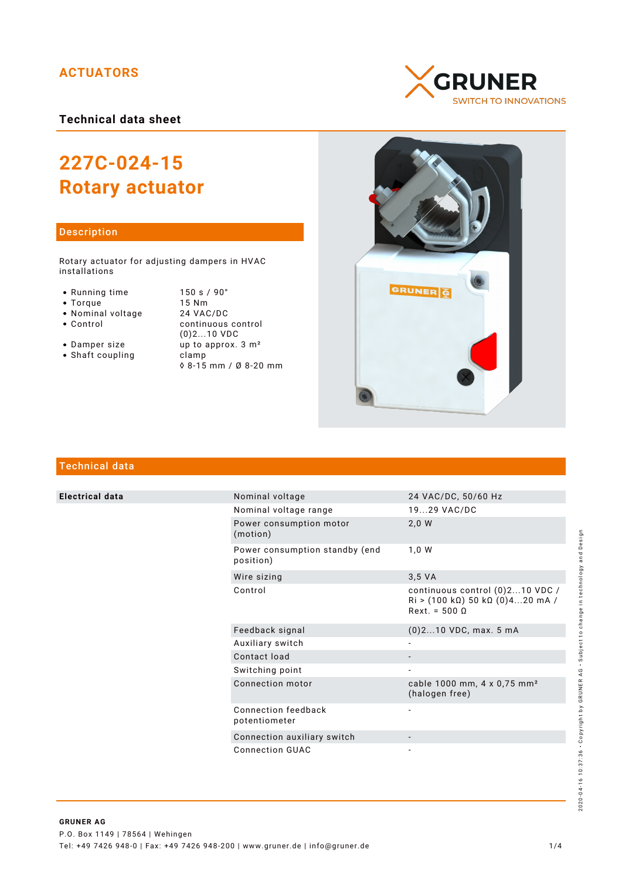## **ACTUATORS**

**Technical data sheet**

# **227C-024-15 Rotary actuator**

## Description

Rotary actuator for adjusting dampers in HVAC installations

- 
- 
- 
- Nominal voltage<br>• Control
- 
- $\bullet$  Shaft coupling

• Running time 150 s / 90°<br>• Torque 15 Nm • Torque 15 Nm<br>• Nominal voltage 24 VAC/DC continuous control (0)2...10 VDC • Damper size  $\frac{1}{2}$  up to approx. 3 m<sup>2</sup><br>• Shaft coupling clamp ◊ 8-15 mm / Ø 8-20 mm





# Technical data

**Electrical data** 

|  | Nominal voltage                             | 24 VAC/DC, 50/60 Hz                                                                                                                 |
|--|---------------------------------------------|-------------------------------------------------------------------------------------------------------------------------------------|
|  | Nominal voltage range                       | 1929 VAC/DC                                                                                                                         |
|  | Power consumption motor<br>(motion)         | 2,0 W                                                                                                                               |
|  | Power consumption standby (end<br>position) | 1.0 W                                                                                                                               |
|  | Wire sizing                                 | 3.5 VA                                                                                                                              |
|  | Control                                     | continuous control (0)210 VDC /<br>$\text{Ri} > (100 \text{ k}\Omega) 50 \text{ k}\Omega (0)420 \text{ mA}$<br>$Rext. = 500 \Omega$ |
|  | Feedback signal                             | $(0)$ 210 VDC, max. 5 mA                                                                                                            |
|  | Auxiliary switch                            |                                                                                                                                     |
|  | Contact load                                |                                                                                                                                     |
|  | Switching point                             |                                                                                                                                     |
|  | Connection motor                            | cable 1000 mm, 4 x 0,75 mm <sup>2</sup><br>(halogen free)                                                                           |
|  | Connection feedback<br>potentiometer        |                                                                                                                                     |
|  | Connection auxiliary switch                 |                                                                                                                                     |
|  | Connection GUAC                             |                                                                                                                                     |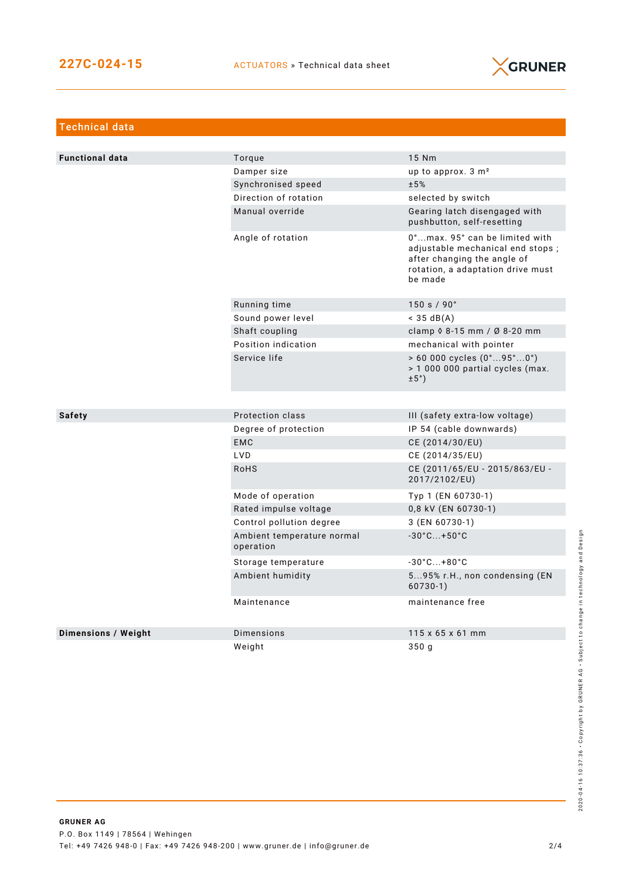

| Technical data             |                                         |                                                                                                                                                   |  |  |
|----------------------------|-----------------------------------------|---------------------------------------------------------------------------------------------------------------------------------------------------|--|--|
|                            |                                         |                                                                                                                                                   |  |  |
| <b>Functional data</b>     | Torque                                  | 15 Nm                                                                                                                                             |  |  |
|                            | Damper size                             | up to approx. 3 m <sup>2</sup>                                                                                                                    |  |  |
|                            | Synchronised speed                      | ±5%                                                                                                                                               |  |  |
|                            | Direction of rotation                   | selected by switch                                                                                                                                |  |  |
|                            | Manual override                         | Gearing latch disengaged with<br>pushbutton, self-resetting                                                                                       |  |  |
|                            | Angle of rotation                       | 0°max. 95° can be limited with<br>adjustable mechanical end stops;<br>after changing the angle of<br>rotation, a adaptation drive must<br>be made |  |  |
|                            | Running time                            | 150 s / 90°                                                                                                                                       |  |  |
|                            | Sound power level                       | $<$ 35 dB(A)                                                                                                                                      |  |  |
|                            | Shaft coupling                          | clamp $\Diamond$ 8-15 mm / Ø 8-20 mm                                                                                                              |  |  |
|                            | Position indication                     | mechanical with pointer                                                                                                                           |  |  |
|                            | Service life                            | $> 60000$ cycles $(0^{\circ}95^{\circ}0^{\circ})$<br>> 1 000 000 partial cycles (max.<br>$\pm 5^{\circ}$ )                                        |  |  |
|                            |                                         |                                                                                                                                                   |  |  |
| <b>Safety</b>              | Protection class                        | III (safety extra-low voltage)                                                                                                                    |  |  |
|                            | Degree of protection                    | IP 54 (cable downwards)                                                                                                                           |  |  |
|                            | <b>EMC</b>                              | CE (2014/30/EU)                                                                                                                                   |  |  |
|                            | LVD.                                    | CE (2014/35/EU)                                                                                                                                   |  |  |
|                            | <b>RoHS</b>                             | CE (2011/65/EU - 2015/863/EU -<br>2017/2102/EU)                                                                                                   |  |  |
|                            | Mode of operation                       | Typ 1 (EN 60730-1)                                                                                                                                |  |  |
|                            | Rated impulse voltage                   | 0,8 kV (EN 60730-1)                                                                                                                               |  |  |
|                            | Control pollution degree                | 3 (EN 60730-1)                                                                                                                                    |  |  |
|                            | Ambient temperature normal<br>operation | $-30^{\circ}$ C +50 $^{\circ}$ C                                                                                                                  |  |  |
|                            | Storage temperature                     | $-30^{\circ}$ C +80 $^{\circ}$ C                                                                                                                  |  |  |
|                            | Ambient humidity                        | 595% r.H., non condensing (EN<br>$60730-1)$                                                                                                       |  |  |
|                            | Maintenance                             | maintenance free                                                                                                                                  |  |  |
| <b>Dimensions / Weight</b> | Dimensions                              | $115 \times 65 \times 61$ mm                                                                                                                      |  |  |
|                            | Weight                                  | 350q                                                                                                                                              |  |  |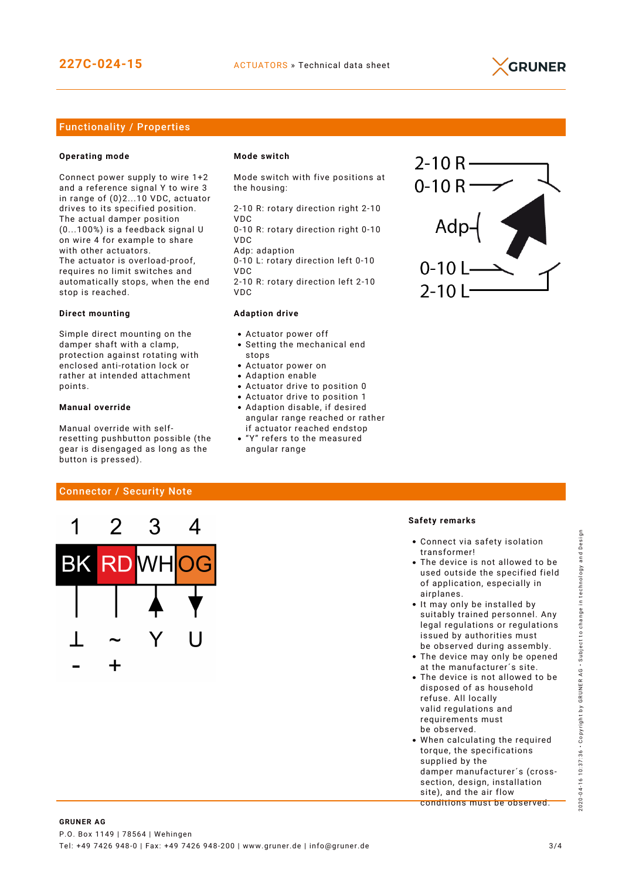

## Functionality / Properties

#### **Operating mode**

Connect power supply to wire 1+2 and a reference signal Y to wire 3 in range of (0)2...10 VDC, actuator drives to its specified position. The actual damper position (0...100%) is a feedback signal U on wire 4 for example to share with other actuators. The actuator is overload-proof, requires no limit switches and automatically stops, when the end stop is reached.

#### **Direct mounting**

Simple direct mounting on the damper shaft with a clamp, protection against rotating with enclosed anti-rotation lock or rather at intended attachment points.

#### **Manual override**

Manual override with selfresetting pushbutton possible (the gear is disengaged as long as the button is pressed).

Connector / Security Note

#### **Mode switch**

Mode switch with five positions at the housing:

2-10 R: rotary direction right 2-10 VDC

0-10 R: rotary direction right 0-10 VDC

Adp: adaption 0-10 L: rotary direction left 0-10 VDC

2-10 R: rotary direction left 2-10 VDC

#### **Adaption drive**

- Actuator power off
- Setting the mechanical end stops
- Actuator power on
- Adaption enable
- Actuator drive to position 0
- Actuator drive to position 1
- Adaption disable, if desired angular range reached or rather if actuator reached endstop
- "Y" refers to the measured angular range



#### **Safety remarks**

- Connect via safety isolation transformer!
- The device is not allowed to be used outside the specified field of application, especially in airplanes.
- It may only be installed by suitably trained personnel. Any legal regulations or regulations issued by authorities must be observed during assembly.
- The device may only be opened at the manufacturer´s site.
- The device is not allowed to be disposed of as household refuse. All locally valid regulations and requirements must be observed.
- When calculating the required torque, the specifications supplied by the damper manufacturer´s (crosssection, design, installation site), and the air flow conditions must be observed.